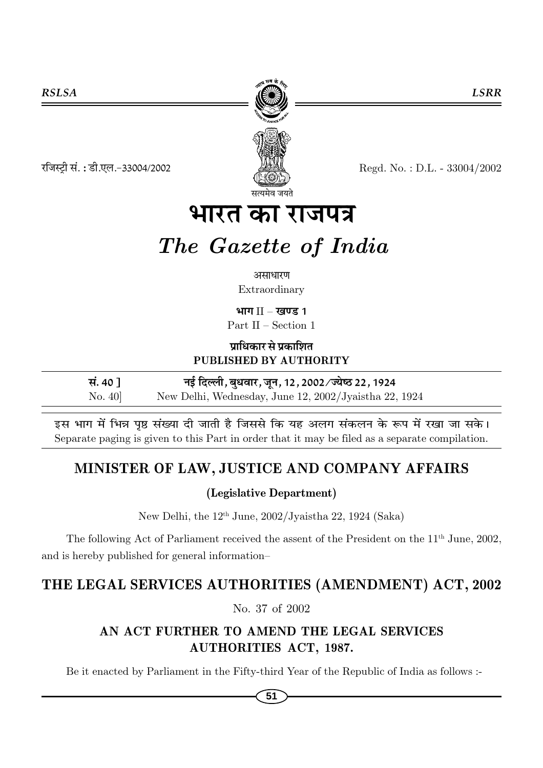

रजिस्ट्री सं.: डी.एल.-33004/2002

Regd. No.: D.L. - 33004/2002

# भारत का राजपत्र

# The Gazette of India

#### असाधारण

Extraordinary

भाग $II -$ खण्ड 1

Part II – Section 1

प्राधिकार से प्रकाशित PUBLISHED BY AUTHORITY

| सं. ४० १           | नई दिल्ली, बुधवार, जून, 12, 2002/ज्येष्ठ 22, 1924     |
|--------------------|-------------------------------------------------------|
| $\mathrm{No.}\ 40$ | New Delhi, Wednesday, June 12, 2002/Jyaistha 22, 1924 |

इस भाग में भिन्न पृष्ठ संख्या दी जाती है जिससे कि यह अलग संकलन के रूप में रखा जा सके। Separate paging is given to this Part in order that it may be filed as a separate compilation.

## MINISTER OF LAW, JUSTICE AND COMPANY AFFAIRS

#### (Legislative Department)

New Delhi, the 12<sup>th</sup> June, 2002/Jyaistha 22, 1924 (Saka)

The following Act of Parliament received the assent of the President on the 11<sup>th</sup> June, 2002, and is hereby published for general information-

## THE LEGAL SERVICES AUTHORITIES (AMENDMENT) ACT, 2002

No. 37 of 2002

#### AN ACT FURTHER TO AMEND THE LEGAL SERVICES **AUTHORITIES ACT, 1987.**

Be it enacted by Parliament in the Fifty-third Year of the Republic of India as follows :-

**LSRR**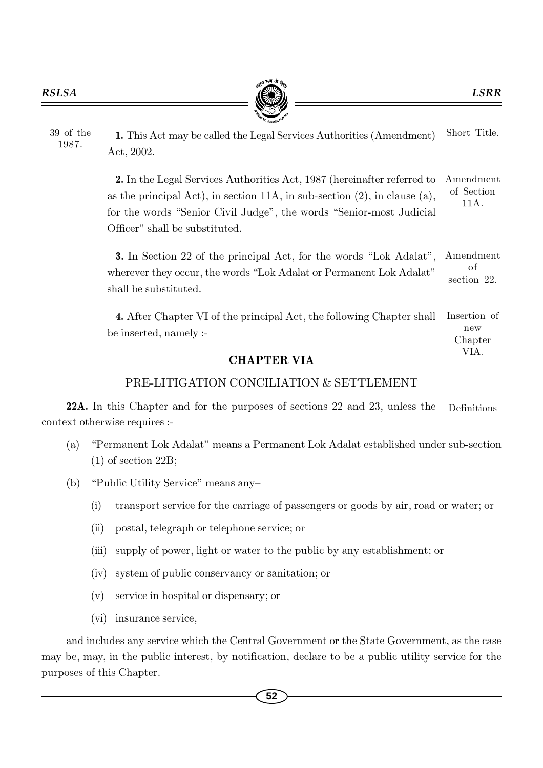

1. This Act may be called the Legal Services Authorities (Amendment) Act, 2002. 39 of the 1987. Short Title.

> 2. In the Legal Services Authorities Act, 1987 (hereinafter referred to as the principal Act), in section 11A, in sub-section (2), in clause (a), for the words "Senior Civil Judge", the words "Senior-most Judicial Officer" shall be substituted. Amendment of Section 11A.

> 3. In Section 22 of the principal Act, for the words "Lok Adalat", wherever they occur, the words "Lok Adalat or Permanent Lok Adalat" shall be substituted. Amendment o f section 22.

> 4. After Chapter VI of the principal Act, the following Chapter shall be inserted, namely :- Insertion of new Chapter

VIA.

#### CHAPTER VIA

#### PRE-LITIGATION CONCILIATION & SETTLEMENT

22A. In this Chapter and for the purposes of sections 22 and 23, unless the context otherwise requires :- Definitions

- (a) "Permanent Lok Adalat" means a Permanent Lok Adalat established under sub-section (1) of section 22B;
- (b) "Public Utility Service" means any–
	- (i) transport service for the carriage of passengers or goods by air, road or water; or
	- (ii) postal, telegraph or telephone service; or
	- (iii) supply of power, light or water to the public by any establishment; or
	- (iv) system of public conservancy or sanitation; or
	- (v) service in hospital or dispensary; or
	- (vi) insurance service,

and includes any service which the Central Government or the State Government, as the case may be, may, in the public interest, by notification, declare to be a public utility service for the purposes of this Chapter.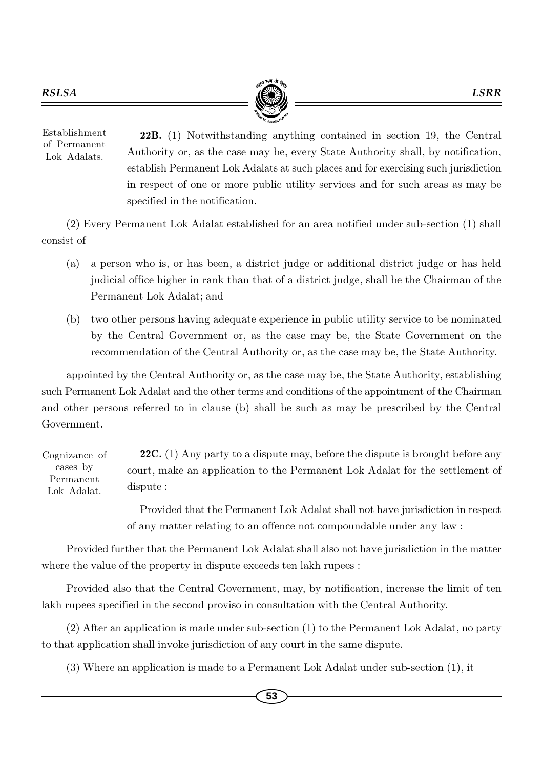

22B. (1) Notwithstanding anything contained in section 19, the Central Authority or, as the case may be, every State Authority shall, by notification, establish Permanent Lok Adalats at such places and for exercising such jurisdiction in respect of one or more public utility services and for such areas as may be specified in the notification. Establishment of Permanent Lok Adalats.

(2) Every Permanent Lok Adalat established for an area notified under sub-section (1) shall consist of –

- (a) a person who is, or has been, a district judge or additional district judge or has held judicial office higher in rank than that of a district judge, shall be the Chairman of the Permanent Lok Adalat; and
- (b) two other persons having adequate experience in public utility service to be nominated by the Central Government or, as the case may be, the State Government on the recommendation of the Central Authority or, as the case may be, the State Authority.

appointed by the Central Authority or, as the case may be, the State Authority, establishing such Permanent Lok Adalat and the other terms and conditions of the appointment of the Chairman and other persons referred to in clause (b) shall be such as may be prescribed by the Central Government.

22C. (1) Any party to a dispute may, before the dispute is brought before any court, make an application to the Permanent Lok Adalat for the settlement of dispute : Cognizance of cases by Permanent Lok Adalat.

> Provided that the Permanent Lok Adalat shall not have jurisdiction in respect of any matter relating to an offence not compoundable under any law :

Provided further that the Permanent Lok Adalat shall also not have jurisdiction in the matter where the value of the property in dispute exceeds ten lakh rupees :

Provided also that the Central Government, may, by notification, increase the limit of ten lakh rupees specified in the second proviso in consultation with the Central Authority.

(2) After an application is made under sub-section (1) to the Permanent Lok Adalat, no party to that application shall invoke jurisdiction of any court in the same dispute.

(3) Where an application is made to a Permanent Lok Adalat under sub-section (1), it–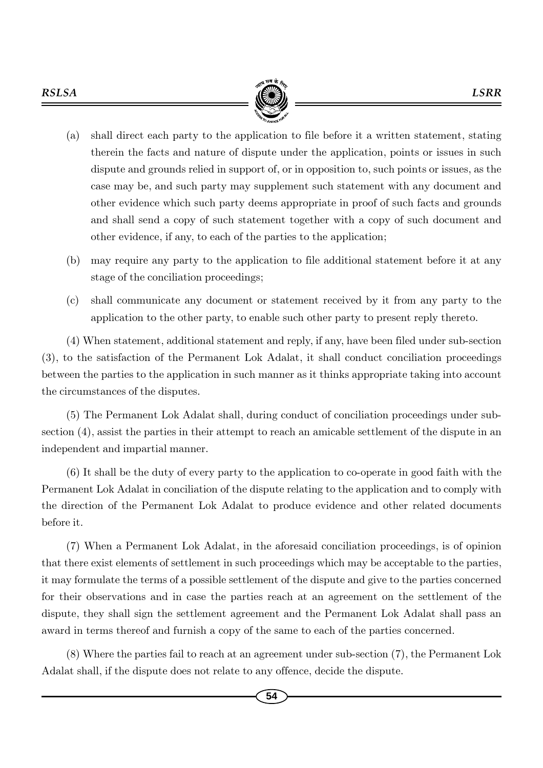

- (a) shall direct each party to the application to file before it a written statement, stating therein the facts and nature of dispute under the application, points or issues in such dispute and grounds relied in support of, or in opposition to, such points or issues, as the case may be, and such party may supplement such statement with any document and other evidence which such party deems appropriate in proof of such facts and grounds and shall send a copy of such statement together with a copy of such document and other evidence, if any, to each of the parties to the application;
- (b) may require any party to the application to file additional statement before it at any stage of the conciliation proceedings;
- (c) shall communicate any document or statement received by it from any party to the application to the other party, to enable such other party to present reply thereto.

(4) When statement, additional statement and reply, if any, have been filed under sub-section (3), to the satisfaction of the Permanent Lok Adalat, it shall conduct conciliation proceedings between the parties to the application in such manner as it thinks appropriate taking into account the circumstances of the disputes.

(5) The Permanent Lok Adalat shall, during conduct of conciliation proceedings under subsection (4), assist the parties in their attempt to reach an amicable settlement of the dispute in an independent and impartial manner.

(6) It shall be the duty of every party to the application to co-operate in good faith with the Permanent Lok Adalat in conciliation of the dispute relating to the application and to comply with the direction of the Permanent Lok Adalat to produce evidence and other related documents before it.

(7) When a Permanent Lok Adalat, in the aforesaid conciliation proceedings, is of opinion that there exist elements of settlement in such proceedings which may be acceptable to the parties, it may formulate the terms of a possible settlement of the dispute and give to the parties concerned for their observations and in case the parties reach at an agreement on the settlement of the dispute, they shall sign the settlement agreement and the Permanent Lok Adalat shall pass an award in terms thereof and furnish a copy of the same to each of the parties concerned.

(8) Where the parties fail to reach at an agreement under sub-section (7), the Permanent Lok Adalat shall, if the dispute does not relate to any offence, decide the dispute.